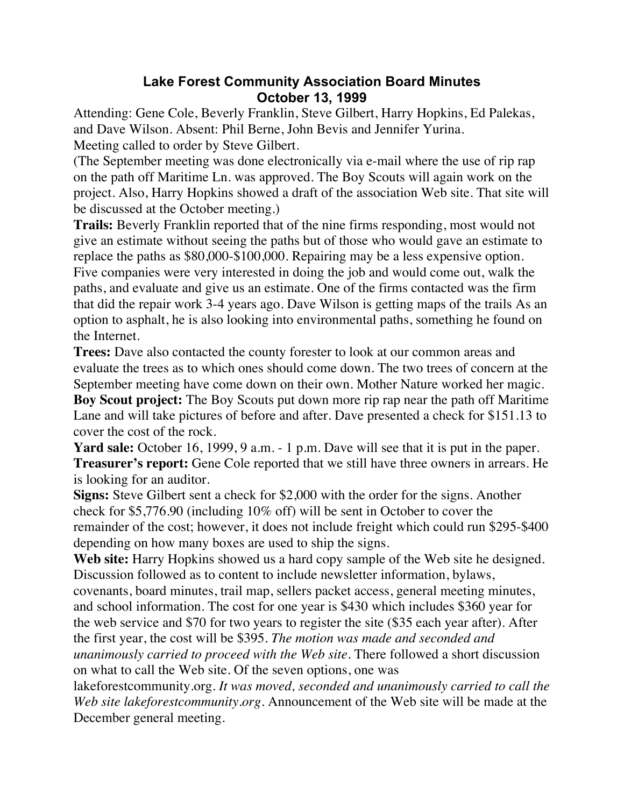## **Lake Forest Community Association Board Minutes October 13, 1999**

Attending: Gene Cole, Beverly Franklin, Steve Gilbert, Harry Hopkins, Ed Palekas, and Dave Wilson. Absent: Phil Berne, John Bevis and Jennifer Yurina. Meeting called to order by Steve Gilbert.

(The September meeting was done electronically via e-mail where the use of rip rap on the path off Maritime Ln. was approved. The Boy Scouts will again work on the project. Also, Harry Hopkins showed a draft of the association Web site. That site will be discussed at the October meeting.)

**Trails:** Beverly Franklin reported that of the nine firms responding, most would not give an estimate without seeing the paths but of those who would gave an estimate to replace the paths as \$80,000-\$100,000. Repairing may be a less expensive option. Five companies were very interested in doing the job and would come out, walk the paths, and evaluate and give us an estimate. One of the firms contacted was the firm that did the repair work 3-4 years ago. Dave Wilson is getting maps of the trails As an option to asphalt, he is also looking into environmental paths, something he found on the Internet.

**Trees:** Dave also contacted the county forester to look at our common areas and evaluate the trees as to which ones should come down. The two trees of concern at the September meeting have come down on their own. Mother Nature worked her magic.

**Boy Scout project:** The Boy Scouts put down more rip rap near the path off Maritime Lane and will take pictures of before and after. Dave presented a check for \$151.13 to cover the cost of the rock.

**Yard sale:** October 16, 1999, 9 a.m. - 1 p.m. Dave will see that it is put in the paper. **Treasurer's report:** Gene Cole reported that we still have three owners in arrears. He is looking for an auditor.

**Signs:** Steve Gilbert sent a check for \$2,000 with the order for the signs. Another check for \$5,776.90 (including 10% off) will be sent in October to cover the remainder of the cost; however, it does not include freight which could run \$295-\$400 depending on how many boxes are used to ship the signs.

**Web site:** Harry Hopkins showed us a hard copy sample of the Web site he designed. Discussion followed as to content to include newsletter information, bylaws,

covenants, board minutes, trail map, sellers packet access, general meeting minutes, and school information. The cost for one year is \$430 which includes \$360 year for the web service and \$70 for two years to register the site (\$35 each year after). After the first year, the cost will be \$395. *The motion was made and seconded and unanimously carried to proceed with the Web site.* There followed a short discussion on what to call the Web site. Of the seven options, one was

lakeforestcommunity.org. *It was moved, seconded and unanimously carried to call the Web site lakeforestcommunity.org.* Announcement of the Web site will be made at the December general meeting.